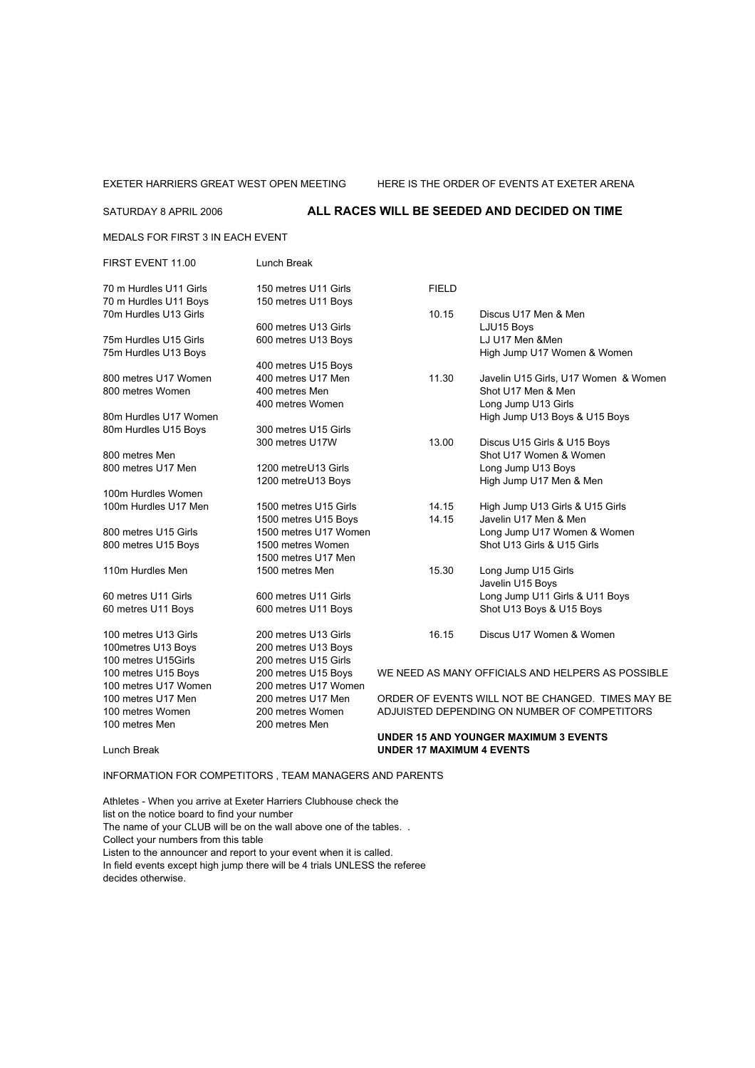EXETER HARRIERS GREAT WEST OPEN MEETING HERE IS THE ORDER OF EVENTS AT EXETER ARENA

#### SATURDAY 8 APRIL 2006 **ALL RACES WILL BE SEEDED AND DECIDED ON TIME**

#### MEDALS FOR FIRST 3 IN EACH EVENT

| FIRST EVENT 11.00      | Lunch Break           |                                  |                                                   |
|------------------------|-----------------------|----------------------------------|---------------------------------------------------|
| 70 m Hurdles U11 Girls | 150 metres U11 Girls  | <b>FIELD</b>                     |                                                   |
| 70 m Hurdles U11 Boys  | 150 metres U11 Boys   |                                  |                                                   |
| 70m Hurdles U13 Girls  |                       | 10.15                            | Discus U17 Men & Men                              |
|                        | 600 metres U13 Girls  |                                  | LJU15 Boys                                        |
| 75m Hurdles U15 Girls  | 600 metres U13 Boys   |                                  | LJ U17 Men & Men                                  |
| 75m Hurdles U13 Boys   |                       |                                  | High Jump U17 Women & Women                       |
|                        | 400 metres U15 Boys   |                                  |                                                   |
| 800 metres U17 Women   | 400 metres U17 Men    | 11.30                            | Javelin U15 Girls, U17 Women & Women              |
| 800 metres Women       | 400 metres Men        |                                  | Shot U17 Men & Men                                |
|                        | 400 metres Women      |                                  | Long Jump U13 Girls                               |
| 80m Hurdles U17 Women  |                       |                                  | High Jump U13 Boys & U15 Boys                     |
| 80m Hurdles U15 Boys   | 300 metres U15 Girls  |                                  |                                                   |
|                        | 300 metres U17W       | 13.00                            | Discus U15 Girls & U15 Boys                       |
| 800 metres Men         |                       |                                  | Shot U17 Women & Women                            |
| 800 metres U17 Men     | 1200 metreU13 Girls   |                                  | Long Jump U13 Boys                                |
|                        | 1200 metreU13 Boys    |                                  | High Jump U17 Men & Men                           |
| 100m Hurdles Women     |                       |                                  |                                                   |
| 100m Hurdles U17 Men   | 1500 metres U15 Girls | 14.15                            | High Jump U13 Girls & U15 Girls                   |
|                        | 1500 metres U15 Boys  | 14.15                            | Javelin U17 Men & Men                             |
| 800 metres U15 Girls   | 1500 metres U17 Women |                                  | Long Jump U17 Women & Women                       |
| 800 metres U15 Boys    | 1500 metres Women     |                                  | Shot U13 Girls & U15 Girls                        |
|                        | 1500 metres U17 Men   |                                  |                                                   |
| 110m Hurdles Men       | 1500 metres Men       | 15.30                            | Long Jump U15 Girls                               |
|                        |                       |                                  | Javelin U15 Boys                                  |
| 60 metres U11 Girls    | 600 metres U11 Girls  |                                  | Long Jump U11 Girls & U11 Boys                    |
| 60 metres U11 Boys     | 600 metres U11 Boys   |                                  | Shot U13 Boys & U15 Boys                          |
| 100 metres U13 Girls   | 200 metres U13 Girls  | 16.15                            | Discus U17 Women & Women                          |
| 100 metres U13 Boys    | 200 metres U13 Boys   |                                  |                                                   |
| 100 metres U15Girls    | 200 metres U15 Girls  |                                  |                                                   |
| 100 metres U15 Boys    | 200 metres U15 Boys   |                                  | WE NEED AS MANY OFFICIALS AND HELPERS AS POSSIBLE |
| 100 metres U17 Women   | 200 metres U17 Women  |                                  |                                                   |
| 100 metres U17 Men     | 200 metres U17 Men    |                                  | ORDER OF EVENTS WILL NOT BE CHANGED. TIMES MAY BE |
| 100 metres Women       | 200 metres Women      |                                  | ADJUISTED DEPENDING ON NUMBER OF COMPETITORS      |
| 100 metres Men         | 200 metres Men        |                                  |                                                   |
|                        |                       |                                  | UNDER 15 AND YOUNGER MAXIMUM 3 EVENTS             |
| Lunch Break            |                       | <b>UNDER 17 MAXIMUM 4 EVENTS</b> |                                                   |

INFORMATION FOR COMPETITORS , TEAM MANAGERS AND PARENTS

Athletes - When you arrive at Exeter Harriers Clubhouse check the list on the notice board to find your number The name of your CLUB will be on the wall above one of the tables. . Collect your numbers from this table Listen to the announcer and report to your event when it is called. In field events except high jump there will be 4 trials UNLESS the referee decides otherwise.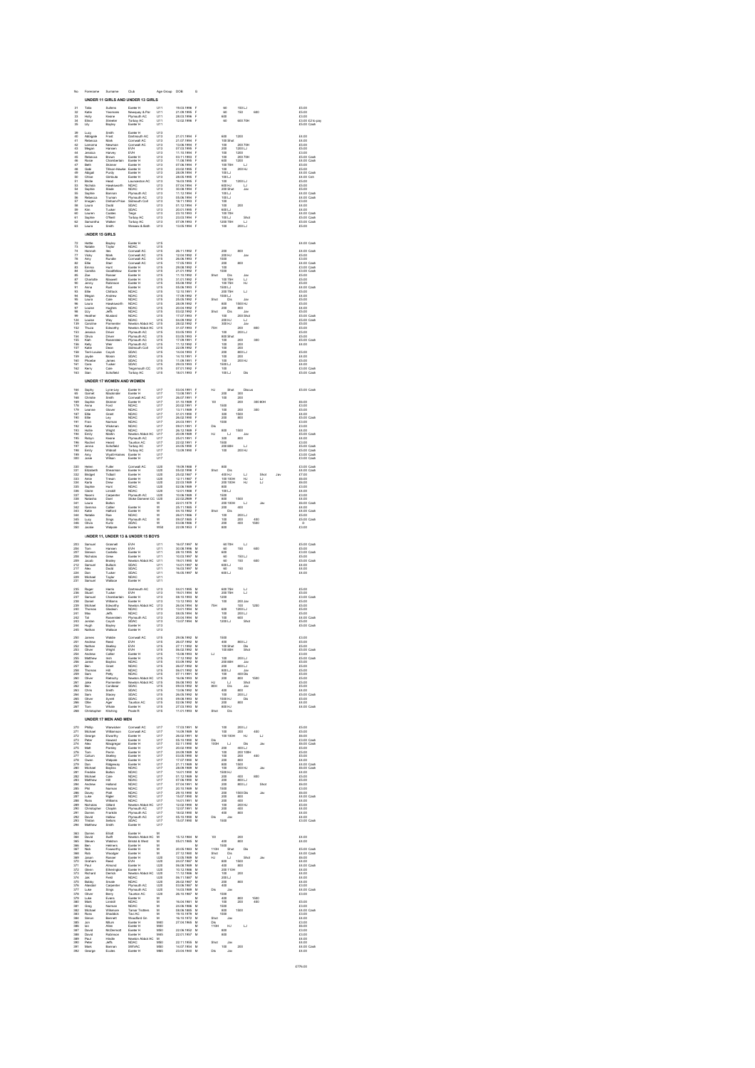|                                                                                                                                                                                                                                                                                                                                                                                                                                                  |                                                                                                                                                                                                                                                                                                                                                                                                                                                                                                                                               | Surname                                                                                                                                                                                                                                                                                                                                                                                                                                                                                                                                                                                                                                     | Club<br>UNDER 11 GIRLS AND UNDER 13 GIRLS                                                                                                                                                                                                                                                                                                                                                                                                                                                                                                                                                                                                                                                                                        | Group                                                                                                                                                                                                                                                                                                                                                                                                                                                                            | <b>DOR</b>                                                                                                                                                                                                                                                                                                                                                                                                                                                                                                                                                                                                                                                                                                 |                                                                                                                                                                                                                                                                                                    |                                                                                                |                                                                                                                                                                                                                                                                                                                                                                                                                                                   |                                                                                                                                                                                                                                                                   |                                                                           |     |                                                                                                                                                                                                                                                                                                                                                                                                                                                                                                                                                                           |
|--------------------------------------------------------------------------------------------------------------------------------------------------------------------------------------------------------------------------------------------------------------------------------------------------------------------------------------------------------------------------------------------------------------------------------------------------|-----------------------------------------------------------------------------------------------------------------------------------------------------------------------------------------------------------------------------------------------------------------------------------------------------------------------------------------------------------------------------------------------------------------------------------------------------------------------------------------------------------------------------------------------|---------------------------------------------------------------------------------------------------------------------------------------------------------------------------------------------------------------------------------------------------------------------------------------------------------------------------------------------------------------------------------------------------------------------------------------------------------------------------------------------------------------------------------------------------------------------------------------------------------------------------------------------|----------------------------------------------------------------------------------------------------------------------------------------------------------------------------------------------------------------------------------------------------------------------------------------------------------------------------------------------------------------------------------------------------------------------------------------------------------------------------------------------------------------------------------------------------------------------------------------------------------------------------------------------------------------------------------------------------------------------------------|----------------------------------------------------------------------------------------------------------------------------------------------------------------------------------------------------------------------------------------------------------------------------------------------------------------------------------------------------------------------------------------------------------------------------------------------------------------------------------|------------------------------------------------------------------------------------------------------------------------------------------------------------------------------------------------------------------------------------------------------------------------------------------------------------------------------------------------------------------------------------------------------------------------------------------------------------------------------------------------------------------------------------------------------------------------------------------------------------------------------------------------------------------------------------------------------------|----------------------------------------------------------------------------------------------------------------------------------------------------------------------------------------------------------------------------------------------------------------------------------------------------|------------------------------------------------------------------------------------------------|---------------------------------------------------------------------------------------------------------------------------------------------------------------------------------------------------------------------------------------------------------------------------------------------------------------------------------------------------------------------------------------------------------------------------------------------------|-------------------------------------------------------------------------------------------------------------------------------------------------------------------------------------------------------------------------------------------------------------------|---------------------------------------------------------------------------|-----|---------------------------------------------------------------------------------------------------------------------------------------------------------------------------------------------------------------------------------------------------------------------------------------------------------------------------------------------------------------------------------------------------------------------------------------------------------------------------------------------------------------------------------------------------------------------------|
| 31<br>32<br>$rac{34}{34}$<br>35                                                                                                                                                                                                                                                                                                                                                                                                                  | Talia<br>Katie<br>Holly<br>Elino<br>Lily                                                                                                                                                                                                                                                                                                                                                                                                                                                                                                      | Sullens<br>Yeomans<br>Keane<br>Streeter<br>Bayley                                                                                                                                                                                                                                                                                                                                                                                                                                                                                                                                                                                           | Exeter H<br>Liveworth<br>Plymouth AC<br>Torbay AC<br>Exeter H                                                                                                                                                                                                                                                                                                                                                                                                                                                                                                                                                                                                                                                                    | U11<br>U11                                                                                                                                                                                                                                                                                                                                                                                                                                                                       | 19.03.1996<br>21.09.1995<br>28.03.1996<br>12.02.1996                                                                                                                                                                                                                                                                                                                                                                                                                                                                                                                                                                                                                                                       | F<br>Ė                                                                                                                                                                                                                                                                                             |                                                                                                | 60<br>-00<br>00<br>00                                                                                                                                                                                                                                                                                                                                                                                                                             | 150 LJ<br>150<br>600 70H                                                                                                                                                                                                                                          | 600                                                                       |     | £5.00<br>E5.00<br>£5.00<br>£3.00 £2 to pay<br>£5.00 Cash                                                                                                                                                                                                                                                                                                                                                                                                                                                                                                                  |
| 39<br>40<br>41<br>42<br>$\frac{13}{44}$<br>45<br>46<br>47<br>48<br>40<br>50<br>51<br>53<br>54<br>55<br>56<br>8888<br>61<br>62<br>63                                                                                                                                                                                                                                                                                                              | Lucy<br>Abbigale<br>Rebecca<br>Lamorna<br>Megan<br>Jessica<br>Rebecca<br>Rosie<br>Beth<br>Gabi<br>Abigail<br>Abigail<br>Bridie<br>Nichola<br>Sophie<br>Sophie<br>Rebecca<br>Imogen<br>Laura<br>Kim<br>Lauren<br>Sophie<br>Samantha<br>Laura<br>UNDER 15 GIRLS                                                                                                                                                                                                                                                                                 | Smith<br>Frost<br>Mark<br>Newman<br>Hansen<br>Harvey<br>Brown<br>Chamberlain<br>Skinner<br>Tillson, Hawke<br>Purdy<br>Gimbuta<br>Head<br>Hawksworth<br>Slade<br>Bannan<br>Truman<br>Dinham-Price<br>Dodd<br>Tucker<br>Coates<br>O'Neill<br>Walker<br>Smith                                                                                                                                                                                                                                                                                                                                                                                  | Fyster H<br>Dartmouth AC<br>Cornwall AC<br>Comwall AC<br>EVH<br>EVH<br>-<br>Exeter H<br>Exeter H<br>Exeter H<br>Exeter H<br>Exeter H<br>Exeter H<br>Launceston AC<br>NDAC<br>NDAC<br>Plymouth AC<br>Plymouth AC<br>Sidmouth Coll<br>SDAC<br>SDAC<br>Teign<br>Torbay AC<br>Torbay AC<br>Wessey & Rath                                                                                                                                                                                                                                                                                                                                                                                                                             | U13<br>U13<br>U13<br>U <sub>13</sub><br>U <sub>13</sub><br>U <sub>13</sub><br>U <sub>13</sub><br>U13<br>U13<br>U13<br>U13<br>U13<br>U13<br>U13<br>U13<br>U13<br>U13<br>U13<br>U13<br>U13<br>U13<br>U13<br>U13<br>U13<br>U13<br>U13<br>U13                                                                                                                                                                                                                                        | 21.01.1994<br>21.07.1994<br>13.06.1994<br>07.03.1995<br>11.10.1994<br>03.11.1993<br>11.08.1995<br>07.06.1994<br>23.02.1995<br>28.09.1994<br>28.05.1995<br>16.03.1995<br>07.04.1994<br>30.08.1994<br>11.12.1994<br>05.06.1994<br>18.11.1993<br>01.12.1994<br>20.01.1995<br>23.10.1993<br>23.03.1994<br>07.09.1993<br>13.05.1994                                                                                                                                                                                                                                                                                                                                                                             | F<br>F<br>Ė<br>F<br>F<br>F<br>F<br>F<br>F<br>Ė<br>F<br>F<br>F<br>F<br>F<br>F<br>p.                                                                                                                                                                                                                 |                                                                                                | 600<br>100 Shot<br>$\frac{100}{200}$<br>$\frac{100}{100}$<br>100<br>600<br>100 70H<br>100<br>$\begin{array}{c} 100 \text{ LJ} \\ 100 \text{ LJ} \\ 100 \text{ LJ} \\ 100 \\ 600 \text{ HJ} \\ \text{m} \end{array}$<br>200 Shot<br>100 LJ<br>100 LJ<br>$\begin{array}{l} 100 \\ 100 \\ 600 \, \text{LJ} \\ 100 \, \text{70H} \\ 100 \, \text{70H} \end{array}$<br>100 LJ<br>1200 70H<br>100                                                       | 1200<br>200 70H<br>$\begin{array}{r}\n 1.00111 \\ + 1.00111 \\ + 1.00011\n \end{array}$<br>200 70H<br>1200<br>ы<br>200 HJ<br>1200 LJ<br>Jay<br>200<br>Shot<br>Ш<br>200 LJ                                                                                         |                                                                           |     | £4.00<br>£4.00<br>E5.00<br>£5.00<br>£3.00<br>£5.00 Cash<br>£4.00<br>Cash<br>£5.00<br>£5.00<br>E4.00<br>£4.00<br>£5.00<br>£5.00<br>$\overline{\text{Csh}}$<br>£5.00<br>£4.00 Cash<br>£4.00 Cash<br>E3.00<br>£4.00<br>£4.00<br>£4.00<br>£5.00 Cash<br>£5.00 Cash<br>£5.00                                                                                                                                                                                                                                                                                                   |
| 72<br>73<br>747782<br>83<br>84<br>85<br>87<br>2222<br>95<br>96<br>97<br>98<br>99<br>124<br>139<br>152<br>153<br>154<br>155<br>156<br>157<br>158<br>159<br>160<br>161<br>162<br>163                                                                                                                                                                                                                                                               | Hattie<br>Natalie<br>Hannah<br>Vicky<br>Amy<br>Ellie<br>Emma<br>Camilla<br>Zoe<br>Charlotte<br>Jenny<br>Anna<br>Ellie<br>Megan<br>Laura<br>Laura<br>Louise<br>Izzy<br>Heather<br>Louise<br>Caroline<br>Thuza<br>Jessica<br>Olvia<br>Kiah<br>Kelly<br>Katie<br>Terri-Louise<br>Jayde<br>Phoebe<br>Cara<br>Kerry<br>Sian                                                                                                                                                                                                                        | Bayley<br>Taylor<br>Iles<br>Mark<br>mark<br>Rundle<br>Starr<br>Hunt<br>Goodfellow<br>Rosser<br>Maxwell<br>Robinson<br>Rust<br>russ<br>Chittock<br>Andrew<br>Cole<br>Hawksworth<br>-<br>Hughes<br>Jeffs<br>Mustard<br>Way<br>Parm<br>Edworthy<br>Driver<br>Driver<br>Rosen<br>Weir<br>Dean<br>Coysh<br>Moran<br>James<br>Tucker<br>Cole<br>Schofield<br>UNDER 17 WOMEN AND WOMEN                                                                                                                                                                                                                                                             | Exeter H<br><b>NDAC</b><br>NUAC<br>Cornwall AC<br>Cornwall AC<br>Cornwall AC<br>Cornwall AC<br>Exeter H<br>Exeter H<br>Exeter H<br>Exeter H<br>Exeter H<br>Exeter H<br>NDAC<br>NDAC<br>NDAC<br><b>NDAC</b><br><b>NDAC</b><br>NDAC<br>NDAC<br>NDAC<br>Newton Abbot AC<br>Newton Abbot AC<br>Plymouth AC<br>Plymouth AC<br>Plymouth AC<br>Plymouth AC<br>Sidmouth Coll<br>SDAC<br>SDAC<br>SDAC<br>SDAC<br>SDAC<br>Teignmouth CC<br>Torbay AC                                                                                                                                                                                                                                                                                       | <b>U15</b><br><b>U15</b><br>U15<br>U15<br>U15<br>U15<br>U15<br>U15<br>U15<br>U15<br>U15<br>U15<br>U15<br>U15<br>U15<br><b>U15</b><br><b>U15</b><br><b>U15</b><br>U15<br>U15<br>U15<br>U15<br>U15<br>U15<br><b>U15</b><br><b>U15</b><br>U15<br>U15<br>U15<br>U15<br><b>U15</b><br><b>U15</b><br><b>U15</b><br><b>U15</b>                                                                                                                                                          | 26.11.1992<br>12.04.1992<br>26.06.1993<br>17.05.1993<br>29.08.1992<br>21.01.1992<br>11.10.1992<br>31.01.1992<br>05.08.1992<br>05.06.1993<br>12.10.1991<br>17.09.1992<br>25.05.1992<br>28.09.1992<br>20.04.1992<br>03.02.1992<br>17.07.1993<br>04.09.1992<br>28.02.1992<br>31.07.1993<br>03.05.1993<br>03.05.1993<br>17.09.1991<br>11.12.1992<br>22.09.1992<br>14.04.1993<br>14.10.1991<br>11.09.1991<br>29.03.1993<br>07.01.1992<br>18.01.1993                                                                                                                                                                                                                                                             | F<br>F<br>F<br>F<br>F<br>F<br>F<br>F<br>F<br>F<br>F<br>F<br>F<br>F<br>F<br>F<br>F<br>F<br>F<br>F<br>F<br>F<br>F                                                                                                                                                                                    | Shot<br>Shot<br>Shot<br>75H                                                                    | 200<br>200 HJ<br>1500<br>200<br>100<br>1500<br>Dis<br>100 75H<br>10075H<br>Dis<br>800<br>200<br>Dis<br>ton<br>200 HJ<br>300 HJ<br>100<br>800 Shot<br>100<br>$\begin{array}{c} 100 \\ 100 \\ 200 \\ 100 \\ \ldots \end{array}$<br>100<br>1500 LJ<br>100<br>100 LJ                                                                                                                                                                                  | 800<br>Jay<br>800<br>Jay<br>ü<br>ю<br>Ц<br>Jay<br>1500 HJ<br>800<br><b>Ja</b><br>$200$ Shot<br>$LJ$<br>$Jav$<br>200<br>200 LJ<br>200<br>$\begin{array}{l} 200 \\ 200 \\ 200 \\ 800 \text{ LJ} \\ 200 \\ \end{array}$<br>200 HJ<br>Dis                             | 800<br>300                                                                |     | £4.00 Cash<br>£4.00 Cash<br>£5.00<br>£3.00<br>£4.00 Cash<br>£3.00 Cash<br>£3.00 Cash<br>£5.00<br>£5.00<br>£5.00<br>£4.00 Cash<br>£5.00<br>£4.00<br>£5.00<br>£5.00<br>£4.00<br>14.00<br>£5.00<br>£5.00 Cash<br>£5.00<br>~~~~<br>£5.00<br>£5.00<br>£5.00<br>£5.00 Cash<br>£4.00<br>£5.00<br>£4.00<br>£5.00<br>£4.00<br>£3.00 Cash<br>£5.00 Cash                                                                                                                                                                                                                             |
| 164<br>65<br>168<br>169<br>178<br>179<br>187<br>190<br>191<br>---<br>192<br>193<br>194<br>195<br>196<br>197<br>198<br>199<br>300                                                                                                                                                                                                                                                                                                                 | Sophy<br>Gamet<br>Christie<br>Sophie<br>Anna<br>Leath<br>Leanne<br>Elie<br>Elle<br>Fran<br>-<br>Katie<br>Hollie<br>Emily<br>Robyn<br>Rachel<br>Jenna<br>Emily<br>Amy<br>Josie                                                                                                                                                                                                                                                                                                                                                                 | Lyne-Ley<br>Mackinder<br>Smith<br>Skinner<br>Ford<br>Glover<br>Grant<br>Ley<br>Norman<br>Wickman<br>Wright<br>Martin<br>Keane<br>Heard<br>Schofield<br>Widnall<br>Wyatt-Haines<br>Wison                                                                                                                                                                                                                                                                                                                                                                                                                                                     | Fyster H<br>Exeter H<br>Cornwall AC<br>Exeter H<br>NDAC<br><br>NDAC<br>NDAC<br><b>NDAC</b><br>NDAC.<br>NDAC<br>NDAC<br>Newton Abbot AC<br>Plymouth AC<br>Taunton AC<br>Torbay AC<br>Torbay AC<br>Exeter H<br>Exeter H                                                                                                                                                                                                                                                                                                                                                                                                                                                                                                            | <b>U17</b><br>U17<br>U17<br>U17<br>U17<br>U17<br>U17<br><b>U17</b><br><b>U17</b><br>U17<br>U17<br>U17<br>U17<br>U17<br>U17<br>U17<br>U17<br>Ú17                                                                                                                                                                                                                                                                                                                                  | 03.04.1991<br>13.08.1991<br>26.07.1991<br>31.10.1989<br>20.02.1991<br>13.11.1989<br>31.01.1990<br>26.02.1990<br>24.03.1991<br>24.03.1991<br>09.01.1991<br>26.12.1989<br>25.01.1991<br>22.02.1991<br>24.05.1990<br>13.09.1990                                                                                                                                                                                                                                                                                                                                                                                                                                                                               | F<br>F<br>F<br>F<br>F<br>F<br>F<br>F<br>F<br><b>H</b> H H<br>Ė                                                                                                                                                                                                                                     | <b>HJ</b><br>ΰű<br>Dis<br>нJ                                                                   | Shot<br>200<br>100<br>1500<br>100<br>300<br>200<br>1500<br>800<br>Ц<br>300<br>1500<br>200 80H<br>100                                                                                                                                                                                                                                                                                                                                              | Discus<br>300<br>200<br>200<br>200<br>1500<br>800<br>1500<br>800<br>Ш<br>200 HJ                                                                                                                                                                                   | 300 80H<br>300                                                            |     | £5.00 Cash<br>£6.00<br>£3.00<br>£5.00<br>£4.00<br><b>F500 Cash</b><br>£3.00<br>E3.00<br>£4.00<br>£5.00<br>£4.00<br>£3.00<br>£5.00 Cash<br>£5.00 Cash<br>£3.00 Cash<br>£3.00 Cash                                                                                                                                                                                                                                                                                                                                                                                          |
| 330<br>331<br>332<br>333<br>334<br>335<br>336<br>337<br>337<br>341<br>342<br>343<br>344<br>ر<br>جهو                                                                                                                                                                                                                                                                                                                                              | Helen<br>Elizabeth<br>Bridget<br>Amie<br>Karla<br>:<br>Sophie<br>Claire<br>Naomi<br>Natasha<br>Laura<br>Gemma<br>Katie<br>Natalie<br>Lucy<br>Lucy<br>Olivia<br>Jackie                                                                                                                                                                                                                                                                                                                                                                         | Fuller<br>Shearman<br>Tidball<br>Trewin<br>Drew<br>Hunt<br>Linskill<br>Carpent<br>Doel<br>Bolton<br>Collier<br>Halford<br>Roe<br>roou<br>Sings<br>Kurtz<br>Walpole                                                                                                                                                                                                                                                                                                                                                                                                                                                                          | Cornwall AC<br>Exeter H<br>Exeter H<br>Exeter H<br>Exeter H<br>NDAC<br>NDAC<br>Plymouth AC<br>Stoke Damerel CC<br>Exeter H<br>Exeter H<br>NDAC<br>Plymouth AC<br>SDAC<br>Exeter H                                                                                                                                                                                                                                                                                                                                                                                                                                                                                                                                                | $u_{20}$<br>U20<br>U20<br><b>U20</b><br><b>U20</b><br>U20<br>U20<br>uzu<br>U20<br>U20<br>w<br>w<br>w<br>w<br>w<br>W<br>W50                                                                                                                                                                                                                                                                                                                                                       | 19.09.1988<br>05.02.1998<br>25.02.1987<br>12.11.1987<br>22.03.1989<br>02.06.1989<br>12.01.1988<br>10.06.1989<br>22.02.2989<br>22.01.1979<br>25.11.1985<br>04.10.1982<br>26.01.1986<br>09.07.1985<br>03.08.1986<br>22.09.1963                                                                                                                                                                                                                                                                                                                                                                                                                                                                               | F<br>F<br>F<br>F<br>F<br>F<br>F<br>F<br><b>H H H H H</b>                                                                                                                                                                                                                                           | Shot<br>Shot                                                                                   | 800<br>Dis<br>400 HJ<br>100 100H<br>$\begin{array}{c} 800 \\ 800 \\ 100 \text{ LJ} \\ 1500 \\ 800 \\ \dots \end{array}$<br>200 100H<br>200<br>Dis<br>100                                                                                                                                                                                                                                                                                          | Ш<br>HJ<br>HJ<br>1500<br>Ы<br>400<br>200 LJ<br>200<br>400                                                                                                                                                                                                         | Shot<br>LJ<br>LJ<br>Jav<br>ann<br>1500                                    | Jay | £3.00 Cash<br>£4.00 Cash<br>£7.00<br>£6.00<br>£6.00<br>E3.00<br>£4.00<br>£3.00<br>£4.00<br>£6.00 Cash<br>£4.00<br>£4.00 Cash<br>£5.00<br>£5.00 Cash                                                                                                                                                                                                                                                                                                                                                                                                                       |
| 346<br>350                                                                                                                                                                                                                                                                                                                                                                                                                                       |                                                                                                                                                                                                                                                                                                                                                                                                                                                                                                                                               |                                                                                                                                                                                                                                                                                                                                                                                                                                                                                                                                                                                                                                             | UNDER 11, UNDER 13 & UNDER 15 BOYS                                                                                                                                                                                                                                                                                                                                                                                                                                                                                                                                                                                                                                                                                               |                                                                                                                                                                                                                                                                                                                                                                                                                                                                                  |                                                                                                                                                                                                                                                                                                                                                                                                                                                                                                                                                                                                                                                                                                            |                                                                                                                                                                                                                                                                                                    |                                                                                                | $\frac{100}{200}$<br>800                                                                                                                                                                                                                                                                                                                                                                                                                          |                                                                                                                                                                                                                                                                   |                                                                           |     | $\frac{E}{2.300}$                                                                                                                                                                                                                                                                                                                                                                                                                                                                                                                                                         |
| 203<br>204<br>207<br>208<br>209<br>212<br>217<br>217<br>224<br>229<br>231                                                                                                                                                                                                                                                                                                                                                                        | Samuel<br>Tom<br>Simeon<br>Nicholas<br>Jacob<br>Samuel<br><br>Alax<br>Dan<br>Michi<br>Samuel                                                                                                                                                                                                                                                                                                                                                                                                                                                  | Grannel<br>Hansen<br>Costello<br>Grew<br>Brailey<br>Bullock<br>Dodd<br>Tucker<br>Taylor<br>Wallace                                                                                                                                                                                                                                                                                                                                                                                                                                                                                                                                          | EVH<br>EVH<br>Exeter H<br>Exeter H<br>Newton Abbot AC<br>SDAC<br>SDAC<br>SDAC<br>NDAC<br>Exeter H                                                                                                                                                                                                                                                                                                                                                                                                                                                                                                                                                                                                                                | uti<br>U11<br>U11<br>U11<br>U11<br>U11<br>U11                                                                                                                                                                                                                                                                                                                                                                                                                                    | 16.07.1997<br>30.08.1996<br>28.10.1995<br>10.03.1997<br>19.01.1995<br>14.01.1997<br>16.03.1997<br>16.05.1997                                                                                                                                                                                                                                                                                                                                                                                                                                                                                                                                                                                               | M<br>M<br>M<br>M<br>M<br>$\overline{M}$                                                                                                                                                                                                                                                            |                                                                                                | 6070H<br>$\begin{matrix} 60 \\ 60 \\ 60 \end{matrix}$<br>60<br>600 LJ<br>60<br>600 LJ                                                                                                                                                                                                                                                                                                                                                             | Ы<br>150<br>150 LJ<br>150<br>150                                                                                                                                                                                                                                  | 600<br>600                                                                |     | £5.00 C<br>£5.00<br>£3.00 Cash<br>£5.00<br>£5.00 Cash<br>£4.00<br>£4.00<br>£4.00                                                                                                                                                                                                                                                                                                                                                                                                                                                                                          |
| 235<br>236<br>237<br>238<br>230<br>230<br>240<br>$\frac{241}{242}$<br>243<br>244<br>245                                                                                                                                                                                                                                                                                                                                                          | Roger<br>Stuart<br>Samuel<br>Daniel<br>Michael<br>Thomas<br>Max<br>Tal<br>Jordan<br>Hugh<br>Nathan                                                                                                                                                                                                                                                                                                                                                                                                                                            | Harris<br>Tucker<br>Chamberlain<br>Williams<br>venums<br>Edworthy<br>Gladwin<br>Jeffs<br>Rosenstein<br>Coysh<br>Bayley<br>Wallace                                                                                                                                                                                                                                                                                                                                                                                                                                                                                                           | Dartmouth AC<br>EVH<br>Exeter H<br>Exeter H<br>Newton Abbot AC<br>NDAC<br>NDAC<br>Plymouth AC<br>snac<br>Exeter H<br>Exeter H                                                                                                                                                                                                                                                                                                                                                                                                                                                                                                                                                                                                    | <b>U13</b><br>U13<br>$rac{1}{1}$<br>$rac{1}{1}$<br>u13<br>U13<br>U13<br>U13<br>U13<br>U13<br>U13<br>U13                                                                                                                                                                                                                                                                                                                                                                          | 04.01.1995<br>19.01.1994<br>08.10.1993<br>13.12.1993<br>26.04.1994<br>13.01.1994<br>08.05.1994<br>20.04.1994<br>13.07.1994                                                                                                                                                                                                                                                                                                                                                                                                                                                                                                                                                                                 | M<br>M<br>M<br>M<br>M<br>M<br>M                                                                                                                                                                                                                                                                    | 75H                                                                                            | 600 75H<br>200.75H<br>$\frac{1200}{100}$<br>600<br>100<br>100<br>12001-8                                                                                                                                                                                                                                                                                                                                                                          | Ш<br>ũ<br>200.Iav<br>$\frac{100}{1200}$<br>200 LJ<br>600<br>Sho                                                                                                                                                                                                   |                                                                           |     | £5.00<br>£5.00<br>E3.00 Cash<br>£5.00<br>£5.00<br>£5.00<br>£5.00<br>£4.00 Cash<br>£5.00<br>£5.00 Cash                                                                                                                                                                                                                                                                                                                                                                                                                                                                     |
| 250<br>251<br>252<br>253<br>254<br>255<br>256<br>257<br>258<br>259<br>260<br>261<br>262<br>263<br>莎<br>266<br>267<br>268                                                                                                                                                                                                                                                                                                                         | lames<br>Andrew<br>Nathan<br>Oliver<br>Andrew<br>Mathe<br>Jamie<br>Ben<br>Thom<br>Sam<br>Oliver<br>Jake<br>Ben<br>Chris<br>Sam<br>Oliver<br>Olie<br>Tom<br>Christopher                                                                                                                                                                                                                                                                                                                                                                        | Waldie<br>Reed<br>Skelley<br>Wright<br>Collier<br>Irish<br>Baylis<br>Grant<br>Hill<br>Petty<br>Rietschy<br>Parmenter<br>Conibear<br>Corres<br>Smith<br>Stace <sub>)</sub><br>Syreft<br>Ager<br>Whale<br>Kitching<br>UNDER 17 MEN AND MEN                                                                                                                                                                                                                                                                                                                                                                                                    | Cornwall AC<br>EVH<br>EVH<br>EVH<br>Exeter H<br>Exeter H<br>NDAC<br>NDAC<br>NDAC<br>NDAC<br>Newton Abbot AC<br>Newton Ahhet AC<br>SDAC<br>SDAC<br>SDAC<br>SDAC<br>Taunton AC<br>Exeter H<br>Poole R                                                                                                                                                                                                                                                                                                                                                                                                                                                                                                                              | <b>U15</b><br>U15<br>U15<br><b>U15</b><br><b>U15</b><br>U15<br>U15<br>U15<br>U15<br><b>U15</b><br><b>U15</b><br><b>U15</b><br><b>U15</b><br>U15<br>U15<br>U15<br>U15<br>U15<br><b>U15</b><br><b>U15</b>                                                                                                                                                                                                                                                                          | 29.06.1992<br>26.07.1992<br>27.11.1992<br>06.02.1992<br>15.08.1993<br>17.12.1992<br>03.09.1992<br>26.07.1992<br>06.01.1992<br>07.11.1991<br>16.06.1993<br>06.08.1993<br>09.03.1992<br>13.06.1992<br>26.05.1992<br>09.08.1993<br>02.06.1992<br>27.03.1993<br>11.01.1993                                                                                                                                                                                                                                                                                                                                                                                                                                     | M<br>M<br>×.<br>M<br>M<br>M<br>M<br>M<br>M<br>$\frac{M}{M}$<br>$\frac{m}{M}$<br>M<br>M                                                                                                                                                                                                             | Ш<br><b>HJ</b><br>80H<br>Shot                                                                  | 1500<br>400<br>100 Shot<br><b>HOR OO!</b><br>100<br>200 80H<br>$\frac{200}{800 L}$<br>$\frac{100}{200}$<br>Ш<br>Dis<br>400<br>$\frac{400}{100}$<br>$\frac{1500 \text{ HJ}}{200}$<br>800 HJ<br>Dis                                                                                                                                                                                                                                                 | 800 LJ<br>Dis<br>Shot<br>200 L<br>800 L.J<br>Jay<br>400 Dis<br>800<br>Shot<br>Jay<br>soo<br>200 LJ<br>Dis<br>800                                                                                                                                                  | 1500                                                                      |     | £3.00<br>£5.00<br>£5.00<br>£5.00 Cash<br>£3.00<br>£5.00 Cash<br>£5.00<br>E5.00<br>£5.00<br>£5.00<br>£5.00<br>£5.00<br>£5.00<br>£4.00<br>E4.00<br>£5.00<br>£4.00<br>Cash<br>£4.00 Cash                                                                                                                                                                                                                                                                                                                                                                                     |
| 270<br>271<br>272<br>273<br>274<br>275<br>276<br>277<br>278<br>279<br>280<br>281<br>$\overline{2}$<br>283<br>283<br>284<br>285<br>286<br>287<br>288<br>$\frac{1}{286}$<br>290<br>291<br>292<br>293<br>294<br>363<br>364<br>365<br>366<br>367<br>368<br>369<br>370<br>$\frac{371}{372}$<br>$\frac{373}{273}$<br>374<br>375<br>376<br>377<br>378<br>379<br>380<br>381<br>382<br>383<br>384<br>385<br>355<br>387<br>388<br>389<br>390<br>391<br>392 | Philip<br>Michael<br>George<br>Peter<br>Alex<br>ANX<br>Mat<br>Tom<br>Calum<br>Owen<br>Dan<br>Michael<br>Freddie<br>Michael<br>Mathew<br>Andrew<br>Phil<br>.<br>Davey<br>Luke<br>Ross<br>Nicholas<br>Christopher<br>Darren<br>David<br>Tristan<br>Mathew<br>Darren<br>David<br>Steven<br>Ben<br>Nick<br>Rob<br>Jason<br>Graham<br>Paul<br>Glenn<br>Richard<br>Jak<br>Bobby<br>Alasdair<br>Luke<br>Oliver<br>Luke<br>Luke<br>Mark<br>Greg<br>Michael<br>Ross<br>Simon<br>Jon<br>lan<br>Ian<br>David<br>David<br>Paul<br>Peter<br>Mark<br>George | Warwicker<br>Williamson<br>Elworthy<br>Howard<br>Macgregor<br>Parsley<br>Perrin<br>Skelley<br>Walpole<br>Fraponi<br>Bayliss<br>Bolton<br>Cole<br>Hill<br>Holland<br>Morman<br>Norman<br>Platt<br>Rigie<br>Rigas<br>Williams<br>Gillard<br>Gillard<br>Chaplin<br>Franklin<br>Hollow<br>Sellors<br>Smith<br>Elliott<br>Swift<br>Waldron<br>Helmers<br>Foxworthy<br>.<br>Woodger<br>Rosse<br>Reed<br>News<br>Almond<br>Etherington<br>Derrick<br>Field<br>Smale<br>Carpenter<br>Sings<br>Berry<br>Evans<br>Linskill<br>Norman<br>Wilsmore<br>Shaddick<br>Bennett<br>Milum<br>Allen<br>Allen<br>Robinson<br>Hindle<br>Jeffs<br>Bannan<br>Eccles | Cornwall AC<br>Cornwall AC<br>Exeter H<br>Exeter H<br>Exeter H<br>Exeter H<br>Exeter H<br>Exeter H<br>Exeter H<br>Exeter H<br>NDAC.<br>NDAC<br>NDAC<br>NDAC<br>NDAC<br><br>NDAC<br>NDAC<br><b>NDAC</b><br>NDAC<br>NDAC<br>Newton Abbot AC<br>Plymouth AC<br>Plymouth AC<br>Plymouth AC<br>SDAC<br>Exeter H<br>Exeter H<br>Newton Abbot AC<br>Bristol & West<br>Exeter H<br>Exeter H<br>Exeter H<br>Exeter H<br>EVH<br>Exeter H<br>Exeter H<br>Newton Abbot AC<br>NDAC<br>NDAC<br>Nume<br>Plymouth AC<br>Taunton AC<br>Taunton AC<br>Exeter H<br>NDAC<br>NDAC<br>Tamar Traffer<br><b>Tamar Trotters</b><br>Tavi AC<br>Woodford Gn<br>Exeter H<br>Exeter H<br>Exeter H<br>Exeter H<br>Newton Abbot AC<br>NDAC<br>SWVAC<br>Exeter H | <b>U17</b><br>U17<br>U17<br>U17<br>U17<br>U17<br>U17<br>U17<br>U17<br>U17<br>U17<br>U17<br>U17<br>U17<br>U17<br>U17<br><b>U17</b><br><b>U17</b><br>U17<br>U17<br>U17<br>U17<br>U17<br>U17<br><b>U17</b><br>M<br>M<br>M<br>M<br>M<br>M<br><b>U20</b><br><b>U20</b><br><b>Li20</b><br><b>TI20</b><br>$\overline{u}$<br><b>U20</b><br><b>U20</b><br><b>U20</b><br><b>U20</b><br>U20<br>M<br>M<br>M<br>M<br>M<br>M<br>M<br>M40<br>M40<br>MHU<br>M50<br>M45<br>M<br>M50<br>M50<br>M65 | 17.03.1991<br>14.09.1989<br>26.02.1991<br>05.10.1990<br>02.11.1990<br>20.02.1990<br>24.09.1989<br>03.05.1990<br>17.07.1990<br>21.11.1989<br>28.09.1989<br>14.01.1990<br>01.12.1989<br>07.06.1990<br>07.04.1991<br>20.10.1989<br>29.10.1990<br>15.07.1990<br>14.01.1991<br>14.01.1991<br>12.02.1990<br>18.02.1990<br>05.10.1990<br>15.07.1990<br>15.12.1984<br>05.01.1985<br>20.05.1983<br>27.12.1980<br>12.05.1989<br>24.07.1987<br>06.08.1989<br>10.12.1986<br>11.12.1986<br>06.11.1887<br>26.02.1987<br>03.06.1987<br>14.03.1989<br>26.10.1987<br>16.04.1981<br>24.06.1986<br>08.06.1885<br>19.10.1979<br>16.10.1972<br>27.04.1965<br>22.06.1952<br>22.01.1957<br>22.11.1955<br>14.07.1954<br>23.04.1940 | M<br>M<br>M<br>$\frac{M}{M}$<br>M<br>M<br>M<br>M<br>M<br>M<br>M<br>M<br>M<br>M<br>M<br>M<br>$\frac{M}{M}$<br>M<br>M<br>M<br>M<br>M<br>M<br>M<br>M<br>M<br>M<br>$\frac{M}{M}$<br>M<br>M<br>M<br>M<br>M<br>$\frac{M}{M}$<br>M<br>M<br>M<br>M<br>M<br>$\overline{M}$<br>M<br>$\overline{M}$<br>M<br>M | Dis<br>100H<br>Dis<br>'00<br>110H<br>Shot<br>ĤJ.<br>Dis<br>Shot<br>Dis.<br>110H<br>Shot<br>Dis | 100<br>100<br>10030H<br>Ш<br>200<br>100<br>100<br>200<br>800<br>100<br>$\begin{array}{l} 1500 \, \text{HJ} \\ 200 \\ 200 \\ 200 \\ 200 \\ \ldots \end{array}$<br>1500<br>200<br>200<br>200<br>100<br>200<br>400<br>Jav<br>1500<br>400<br>1500<br>Shot<br>Dis<br>Ы<br>800<br>400<br>400<br>100<br>100<br>200 LJ<br>200<br>400<br>Jay<br>1500<br>$400$<br>$100$<br>$1500$<br>$1500$<br>800<br>1500<br>Jav<br>HJ.<br>800<br>800<br>Jav<br>100<br>Jav | 200 LJ<br>200<br>.<br>На<br>Dis<br>400 LJ<br>200 100H<br>200<br>800<br>1500<br>200 H<br>400<br>800 LJ<br>800 LJ<br>1500 Dis<br>800<br>400<br>400<br>400<br>400<br>800<br>200<br>500<br>Dis<br>Shot<br>1500<br>800<br>200<br>800<br>800<br>200<br>1500<br>Ш<br>200 | 400<br>Ш<br>Jav<br>400<br>Jav<br>800<br>Shot<br>Jav<br>Jav<br>1500<br>400 |     | £5.00<br>£5.00<br>£6.00<br>63.00<br>Cast<br>E3.00<br>£6.00<br>£5.00<br>£5.00<br>Cash<br>£5.00<br>£4.00<br>£4.00 Cash<br>£6.00 Cash<br>E4.00<br>£4.00<br>£5.00<br>£6.00<br>£3.00<br>£6.00<br>£4.00 Cash<br>ea or<br>14.00<br>£5.00<br>£4.00<br>£4.00<br>£4.00<br>£3.00 Cash<br>64.00<br>£4.00<br>£5.00 Cash<br>£4.00 Cash<br>£6.00<br>£4.00<br>E4.00 Cash<br>£4.00 Cash<br>£4.00<br>£4.00<br>£4.00<br>£3.00<br>£4.00 Cash<br>£3.00<br>£5.00<br>£3.00<br>£4.00 Cash<br>£3.00<br>£4.00<br>£3.00<br>E6.00<br>£6.00<br>£3.00<br>£3.00<br>£4.00<br>£4.00<br>£4.00 Cash<br>£4.00 |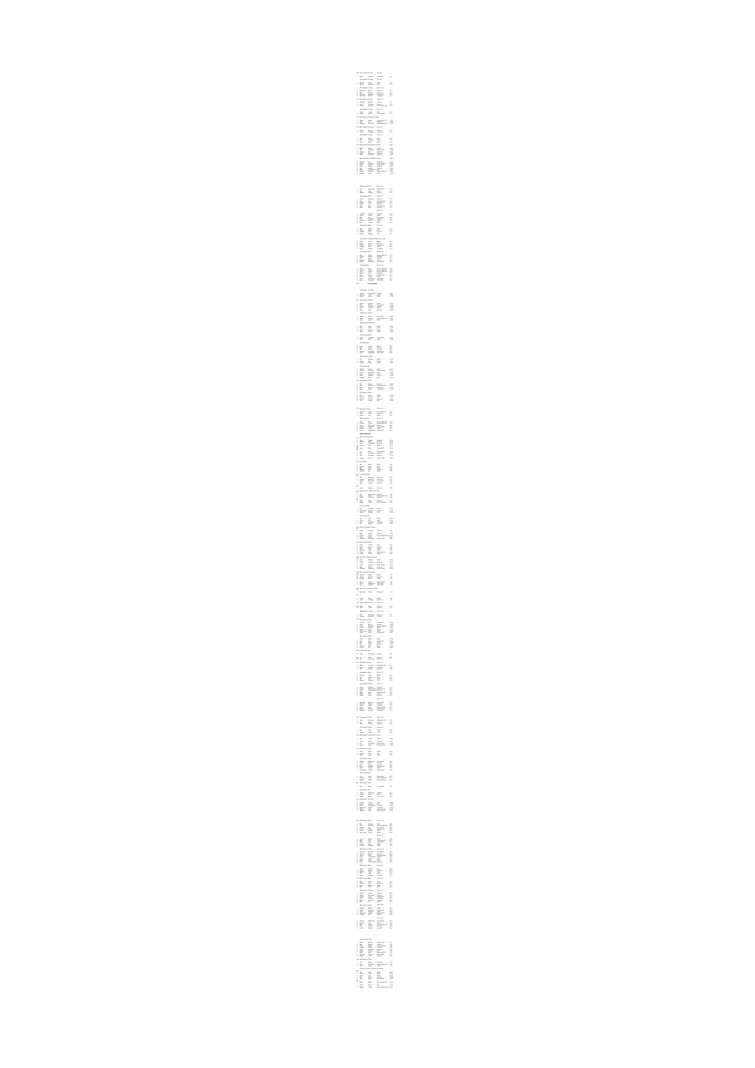| i                                                                                                                                                                                                                             |                       |                                                                                                                                                                                                                                |                                                                                                                                                                                                                                      | t:                                                                                                                                                                                                                                   |
|-------------------------------------------------------------------------------------------------------------------------------------------------------------------------------------------------------------------------------|-----------------------|--------------------------------------------------------------------------------------------------------------------------------------------------------------------------------------------------------------------------------|--------------------------------------------------------------------------------------------------------------------------------------------------------------------------------------------------------------------------------------|--------------------------------------------------------------------------------------------------------------------------------------------------------------------------------------------------------------------------------------|
|                                                                                                                                                                                                                               |                       |                                                                                                                                                                                                                                |                                                                                                                                                                                                                                      |                                                                                                                                                                                                                                      |
|                                                                                                                                                                                                                               |                       |                                                                                                                                                                                                                                |                                                                                                                                                                                                                                      |                                                                                                                                                                                                                                      |
|                                                                                                                                                                                                                               |                       |                                                                                                                                                                                                                                |                                                                                                                                                                                                                                      |                                                                                                                                                                                                                                      |
|                                                                                                                                                                                                                               |                       |                                                                                                                                                                                                                                |                                                                                                                                                                                                                                      |                                                                                                                                                                                                                                      |
|                                                                                                                                                                                                                               |                       |                                                                                                                                                                                                                                |                                                                                                                                                                                                                                      |                                                                                                                                                                                                                                      |
|                                                                                                                                                                                                                               |                       |                                                                                                                                                                                                                                |                                                                                                                                                                                                                                      |                                                                                                                                                                                                                                      |
|                                                                                                                                                                                                                               |                       |                                                                                                                                                                                                                                |                                                                                                                                                                                                                                      |                                                                                                                                                                                                                                      |
|                                                                                                                                                                                                                               |                       |                                                                                                                                                                                                                                |                                                                                                                                                                                                                                      |                                                                                                                                                                                                                                      |
|                                                                                                                                                                                                                               |                       |                                                                                                                                                                                                                                |                                                                                                                                                                                                                                      |                                                                                                                                                                                                                                      |
|                                                                                                                                                                                                                               |                       |                                                                                                                                                                                                                                |                                                                                                                                                                                                                                      |                                                                                                                                                                                                                                      |
|                                                                                                                                                                                                                               |                       |                                                                                                                                                                                                                                |                                                                                                                                                                                                                                      |                                                                                                                                                                                                                                      |
|                                                                                                                                                                                                                               |                       |                                                                                                                                                                                                                                |                                                                                                                                                                                                                                      |                                                                                                                                                                                                                                      |
|                                                                                                                                                                                                                               |                       |                                                                                                                                                                                                                                |                                                                                                                                                                                                                                      |                                                                                                                                                                                                                                      |
|                                                                                                                                                                                                                               |                       |                                                                                                                                                                                                                                |                                                                                                                                                                                                                                      |                                                                                                                                                                                                                                      |
|                                                                                                                                                                                                                               |                       |                                                                                                                                                                                                                                |                                                                                                                                                                                                                                      |                                                                                                                                                                                                                                      |
|                                                                                                                                                                                                                               |                       |                                                                                                                                                                                                                                |                                                                                                                                                                                                                                      |                                                                                                                                                                                                                                      |
|                                                                                                                                                                                                                               |                       |                                                                                                                                                                                                                                |                                                                                                                                                                                                                                      |                                                                                                                                                                                                                                      |
|                                                                                                                                                                                                                               | alla laid din 18      |                                                                                                                                                                                                                                |                                                                                                                                                                                                                                      |                                                                                                                                                                                                                                      |
|                                                                                                                                                                                                                               |                       | <b>FRAME CONFIDENT LIBER</b>                                                                                                                                                                                                   |                                                                                                                                                                                                                                      | <b>AND THE REAL PROPERTY AND SERVED AND SERVED AND SERVED AND SERVED AND SERVED AND SERVED AND SERVED AND SERVED AND SERVED AND SERVED AND SERVED AND SERVED AND SERVED AND SERVED AND SERVED AND SERVED AND SERVED AND SERVED A</b> |
|                                                                                                                                                                                                                               |                       |                                                                                                                                                                                                                                |                                                                                                                                                                                                                                      |                                                                                                                                                                                                                                      |
|                                                                                                                                                                                                                               |                       |                                                                                                                                                                                                                                |                                                                                                                                                                                                                                      |                                                                                                                                                                                                                                      |
|                                                                                                                                                                                                                               |                       |                                                                                                                                                                                                                                |                                                                                                                                                                                                                                      |                                                                                                                                                                                                                                      |
|                                                                                                                                                                                                                               |                       |                                                                                                                                                                                                                                |                                                                                                                                                                                                                                      |                                                                                                                                                                                                                                      |
|                                                                                                                                                                                                                               | $\sim$ 1111111 $\sim$ |                                                                                                                                                                                                                                |                                                                                                                                                                                                                                      |                                                                                                                                                                                                                                      |
|                                                                                                                                                                                                                               |                       |                                                                                                                                                                                                                                |                                                                                                                                                                                                                                      |                                                                                                                                                                                                                                      |
|                                                                                                                                                                                                                               |                       |                                                                                                                                                                                                                                |                                                                                                                                                                                                                                      |                                                                                                                                                                                                                                      |
|                                                                                                                                                                                                                               |                       |                                                                                                                                                                                                                                |                                                                                                                                                                                                                                      |                                                                                                                                                                                                                                      |
|                                                                                                                                                                                                                               |                       |                                                                                                                                                                                                                                |                                                                                                                                                                                                                                      |                                                                                                                                                                                                                                      |
|                                                                                                                                                                                                                               |                       |                                                                                                                                                                                                                                |                                                                                                                                                                                                                                      |                                                                                                                                                                                                                                      |
|                                                                                                                                                                                                                               |                       |                                                                                                                                                                                                                                |                                                                                                                                                                                                                                      |                                                                                                                                                                                                                                      |
|                                                                                                                                                                                                                               |                       |                                                                                                                                                                                                                                |                                                                                                                                                                                                                                      |                                                                                                                                                                                                                                      |
|                                                                                                                                                                                                                               |                       |                                                                                                                                                                                                                                |                                                                                                                                                                                                                                      |                                                                                                                                                                                                                                      |
|                                                                                                                                                                                                                               |                       |                                                                                                                                                                                                                                |                                                                                                                                                                                                                                      |                                                                                                                                                                                                                                      |
|                                                                                                                                                                                                                               |                       |                                                                                                                                                                                                                                |                                                                                                                                                                                                                                      |                                                                                                                                                                                                                                      |
|                                                                                                                                                                                                                               |                       |                                                                                                                                                                                                                                |                                                                                                                                                                                                                                      |                                                                                                                                                                                                                                      |
|                                                                                                                                                                                                                               |                       |                                                                                                                                                                                                                                |                                                                                                                                                                                                                                      |                                                                                                                                                                                                                                      |
|                                                                                                                                                                                                                               |                       |                                                                                                                                                                                                                                |                                                                                                                                                                                                                                      |                                                                                                                                                                                                                                      |
|                                                                                                                                                                                                                               |                       | The contract of the contract of the contract of the contract of the contract of the contract of the contract of the contract of the contract of the contract of the contract of the contract of the contract of the contract o |                                                                                                                                                                                                                                      |                                                                                                                                                                                                                                      |
|                                                                                                                                                                                                                               |                       |                                                                                                                                                                                                                                |                                                                                                                                                                                                                                      |                                                                                                                                                                                                                                      |
|                                                                                                                                                                                                                               |                       |                                                                                                                                                                                                                                |                                                                                                                                                                                                                                      |                                                                                                                                                                                                                                      |
|                                                                                                                                                                                                                               |                       |                                                                                                                                                                                                                                |                                                                                                                                                                                                                                      |                                                                                                                                                                                                                                      |
|                                                                                                                                                                                                                               |                       |                                                                                                                                                                                                                                |                                                                                                                                                                                                                                      |                                                                                                                                                                                                                                      |
|                                                                                                                                                                                                                               |                       | <b>THE LIST LIST LINE</b>                                                                                                                                                                                                      |                                                                                                                                                                                                                                      |                                                                                                                                                                                                                                      |
|                                                                                                                                                                                                                               |                       |                                                                                                                                                                                                                                |                                                                                                                                                                                                                                      |                                                                                                                                                                                                                                      |
|                                                                                                                                                                                                                               |                       |                                                                                                                                                                                                                                |                                                                                                                                                                                                                                      |                                                                                                                                                                                                                                      |
|                                                                                                                                                                                                                               |                       |                                                                                                                                                                                                                                |                                                                                                                                                                                                                                      |                                                                                                                                                                                                                                      |
|                                                                                                                                                                                                                               |                       |                                                                                                                                                                                                                                |                                                                                                                                                                                                                                      |                                                                                                                                                                                                                                      |
|                                                                                                                                                                                                                               |                       |                                                                                                                                                                                                                                |                                                                                                                                                                                                                                      |                                                                                                                                                                                                                                      |
|                                                                                                                                                                                                                               |                       | $\equiv$                                                                                                                                                                                                                       |                                                                                                                                                                                                                                      |                                                                                                                                                                                                                                      |
|                                                                                                                                                                                                                               |                       |                                                                                                                                                                                                                                |                                                                                                                                                                                                                                      |                                                                                                                                                                                                                                      |
|                                                                                                                                                                                                                               |                       |                                                                                                                                                                                                                                |                                                                                                                                                                                                                                      |                                                                                                                                                                                                                                      |
|                                                                                                                                                                                                                               |                       |                                                                                                                                                                                                                                |                                                                                                                                                                                                                                      |                                                                                                                                                                                                                                      |
|                                                                                                                                                                                                                               |                       |                                                                                                                                                                                                                                |                                                                                                                                                                                                                                      |                                                                                                                                                                                                                                      |
|                                                                                                                                                                                                                               |                       |                                                                                                                                                                                                                                |                                                                                                                                                                                                                                      |                                                                                                                                                                                                                                      |
|                                                                                                                                                                                                                               |                       |                                                                                                                                                                                                                                |                                                                                                                                                                                                                                      |                                                                                                                                                                                                                                      |
|                                                                                                                                                                                                                               |                       |                                                                                                                                                                                                                                |                                                                                                                                                                                                                                      |                                                                                                                                                                                                                                      |
|                                                                                                                                                                                                                               |                       |                                                                                                                                                                                                                                |                                                                                                                                                                                                                                      |                                                                                                                                                                                                                                      |
|                                                                                                                                                                                                                               |                       |                                                                                                                                                                                                                                | <b>The Contract of Contract Contract Contract Contract Contract Contract Contract Contract Contract Contract Contract Contract Contract Contract Contract Contract Contract Contract Contract Contract Contract Contract Contrac</b> |                                                                                                                                                                                                                                      |
|                                                                                                                                                                                                                               |                       |                                                                                                                                                                                                                                |                                                                                                                                                                                                                                      |                                                                                                                                                                                                                                      |
|                                                                                                                                                                                                                               |                       |                                                                                                                                                                                                                                |                                                                                                                                                                                                                                      |                                                                                                                                                                                                                                      |
|                                                                                                                                                                                                                               |                       |                                                                                                                                                                                                                                |                                                                                                                                                                                                                                      |                                                                                                                                                                                                                                      |
|                                                                                                                                                                                                                               |                       |                                                                                                                                                                                                                                |                                                                                                                                                                                                                                      |                                                                                                                                                                                                                                      |
|                                                                                                                                                                                                                               |                       |                                                                                                                                                                                                                                |                                                                                                                                                                                                                                      |                                                                                                                                                                                                                                      |
|                                                                                                                                                                                                                               |                       |                                                                                                                                                                                                                                |                                                                                                                                                                                                                                      |                                                                                                                                                                                                                                      |
|                                                                                                                                                                                                                               |                       |                                                                                                                                                                                                                                |                                                                                                                                                                                                                                      |                                                                                                                                                                                                                                      |
|                                                                                                                                                                                                                               |                       |                                                                                                                                                                                                                                |                                                                                                                                                                                                                                      |                                                                                                                                                                                                                                      |
|                                                                                                                                                                                                                               |                       |                                                                                                                                                                                                                                |                                                                                                                                                                                                                                      |                                                                                                                                                                                                                                      |
|                                                                                                                                                                                                                               |                       |                                                                                                                                                                                                                                |                                                                                                                                                                                                                                      |                                                                                                                                                                                                                                      |
|                                                                                                                                                                                                                               |                       |                                                                                                                                                                                                                                |                                                                                                                                                                                                                                      |                                                                                                                                                                                                                                      |
|                                                                                                                                                                                                                               |                       |                                                                                                                                                                                                                                |                                                                                                                                                                                                                                      | 111111                                                                                                                                                                                                                               |
|                                                                                                                                                                                                                               |                       |                                                                                                                                                                                                                                |                                                                                                                                                                                                                                      |                                                                                                                                                                                                                                      |
|                                                                                                                                                                                                                               |                       |                                                                                                                                                                                                                                |                                                                                                                                                                                                                                      |                                                                                                                                                                                                                                      |
|                                                                                                                                                                                                                               |                       |                                                                                                                                                                                                                                |                                                                                                                                                                                                                                      |                                                                                                                                                                                                                                      |
|                                                                                                                                                                                                                               |                       |                                                                                                                                                                                                                                |                                                                                                                                                                                                                                      |                                                                                                                                                                                                                                      |
|                                                                                                                                                                                                                               |                       | 111111111                                                                                                                                                                                                                      |                                                                                                                                                                                                                                      |                                                                                                                                                                                                                                      |
|                                                                                                                                                                                                                               |                       |                                                                                                                                                                                                                                |                                                                                                                                                                                                                                      |                                                                                                                                                                                                                                      |
|                                                                                                                                                                                                                               |                       |                                                                                                                                                                                                                                |                                                                                                                                                                                                                                      |                                                                                                                                                                                                                                      |
|                                                                                                                                                                                                                               |                       |                                                                                                                                                                                                                                |                                                                                                                                                                                                                                      |                                                                                                                                                                                                                                      |
|                                                                                                                                                                                                                               |                       |                                                                                                                                                                                                                                |                                                                                                                                                                                                                                      |                                                                                                                                                                                                                                      |
|                                                                                                                                                                                                                               |                       |                                                                                                                                                                                                                                |                                                                                                                                                                                                                                      |                                                                                                                                                                                                                                      |
|                                                                                                                                                                                                                               |                       |                                                                                                                                                                                                                                |                                                                                                                                                                                                                                      |                                                                                                                                                                                                                                      |
|                                                                                                                                                                                                                               |                       |                                                                                                                                                                                                                                |                                                                                                                                                                                                                                      |                                                                                                                                                                                                                                      |
|                                                                                                                                                                                                                               |                       |                                                                                                                                                                                                                                |                                                                                                                                                                                                                                      |                                                                                                                                                                                                                                      |
|                                                                                                                                                                                                                               |                       |                                                                                                                                                                                                                                |                                                                                                                                                                                                                                      |                                                                                                                                                                                                                                      |
|                                                                                                                                                                                                                               |                       |                                                                                                                                                                                                                                |                                                                                                                                                                                                                                      |                                                                                                                                                                                                                                      |
|                                                                                                                                                                                                                               |                       |                                                                                                                                                                                                                                |                                                                                                                                                                                                                                      |                                                                                                                                                                                                                                      |
|                                                                                                                                                                                                                               |                       |                                                                                                                                                                                                                                |                                                                                                                                                                                                                                      |                                                                                                                                                                                                                                      |
|                                                                                                                                                                                                                               |                       | the contract of the contract of the contract of the contract of the contract of the contract of the contract of the contract of the contract of the contract of the contract of the contract of the contract of the contract o |                                                                                                                                                                                                                                      |                                                                                                                                                                                                                                      |
|                                                                                                                                                                                                                               |                       |                                                                                                                                                                                                                                |                                                                                                                                                                                                                                      |                                                                                                                                                                                                                                      |
|                                                                                                                                                                                                                               |                       |                                                                                                                                                                                                                                |                                                                                                                                                                                                                                      |                                                                                                                                                                                                                                      |
|                                                                                                                                                                                                                               |                       | in i m                                                                                                                                                                                                                         |                                                                                                                                                                                                                                      |                                                                                                                                                                                                                                      |
|                                                                                                                                                                                                                               |                       |                                                                                                                                                                                                                                |                                                                                                                                                                                                                                      |                                                                                                                                                                                                                                      |
|                                                                                                                                                                                                                               |                       |                                                                                                                                                                                                                                |                                                                                                                                                                                                                                      |                                                                                                                                                                                                                                      |
|                                                                                                                                                                                                                               |                       |                                                                                                                                                                                                                                |                                                                                                                                                                                                                                      |                                                                                                                                                                                                                                      |
|                                                                                                                                                                                                                               |                       |                                                                                                                                                                                                                                |                                                                                                                                                                                                                                      |                                                                                                                                                                                                                                      |
|                                                                                                                                                                                                                               |                       |                                                                                                                                                                                                                                |                                                                                                                                                                                                                                      |                                                                                                                                                                                                                                      |
|                                                                                                                                                                                                                               |                       |                                                                                                                                                                                                                                |                                                                                                                                                                                                                                      |                                                                                                                                                                                                                                      |
|                                                                                                                                                                                                                               |                       |                                                                                                                                                                                                                                |                                                                                                                                                                                                                                      |                                                                                                                                                                                                                                      |
|                                                                                                                                                                                                                               |                       | 1119 Inn 11111 1111 1111 Inn 1                                                                                                                                                                                                 |                                                                                                                                                                                                                                      |                                                                                                                                                                                                                                      |
|                                                                                                                                                                                                                               |                       |                                                                                                                                                                                                                                | and a series of the contract of the contract of the contract of the contract of the contract of the contract of the contract of the contract of the contract of the contract of the contract of the contract of the contract o       |                                                                                                                                                                                                                                      |
|                                                                                                                                                                                                                               |                       |                                                                                                                                                                                                                                |                                                                                                                                                                                                                                      |                                                                                                                                                                                                                                      |
|                                                                                                                                                                                                                               |                       |                                                                                                                                                                                                                                |                                                                                                                                                                                                                                      |                                                                                                                                                                                                                                      |
|                                                                                                                                                                                                                               |                       |                                                                                                                                                                                                                                |                                                                                                                                                                                                                                      |                                                                                                                                                                                                                                      |
|                                                                                                                                                                                                                               | E                     |                                                                                                                                                                                                                                |                                                                                                                                                                                                                                      |                                                                                                                                                                                                                                      |
| 【】】 【 】 】 【 】 】 【 】 】 【 】 】 【 】 】 【 】 】 【 】 】 【 】 】 【 】 】 【 】 】 【 】 】 【 】 】 【 】 【 】 】 【 】 】 【 】 】 【 】 】 【 】 】 【 】 】 【 】 】 【 】 】 【 】 】 【 】 】 【 】 】 【 】 】 【 】 】 【 】 】 【 】 】 【 】 】 【 】 】 【 】 】 【 】 】 【 】 】 【 】 】 【 】 】 【 】 【 】 】 |                       | <b>Fine Marketing Life</b>                                                                                                                                                                                                     |                                                                                                                                                                                                                                      | u a constant de la constant de la constant de la constant de la constant de la constant de la constant de la constant de la constant de la constant de la constant de la constant de la constant de la constant de la constant       |
|                                                                                                                                                                                                                               |                       |                                                                                                                                                                                                                                |                                                                                                                                                                                                                                      |                                                                                                                                                                                                                                      |
|                                                                                                                                                                                                                               |                       |                                                                                                                                                                                                                                |                                                                                                                                                                                                                                      |                                                                                                                                                                                                                                      |
|                                                                                                                                                                                                                               |                       |                                                                                                                                                                                                                                |                                                                                                                                                                                                                                      |                                                                                                                                                                                                                                      |
|                                                                                                                                                                                                                               |                       |                                                                                                                                                                                                                                |                                                                                                                                                                                                                                      |                                                                                                                                                                                                                                      |
|                                                                                                                                                                                                                               |                       |                                                                                                                                                                                                                                |                                                                                                                                                                                                                                      |                                                                                                                                                                                                                                      |
|                                                                                                                                                                                                                               |                       |                                                                                                                                                                                                                                |                                                                                                                                                                                                                                      | ====== == == === === ==                                                                                                                                                                                                              |
|                                                                                                                                                                                                                               |                       |                                                                                                                                                                                                                                |                                                                                                                                                                                                                                      |                                                                                                                                                                                                                                      |

11.00 70 m Hurdles U11 Girls Wind 0.0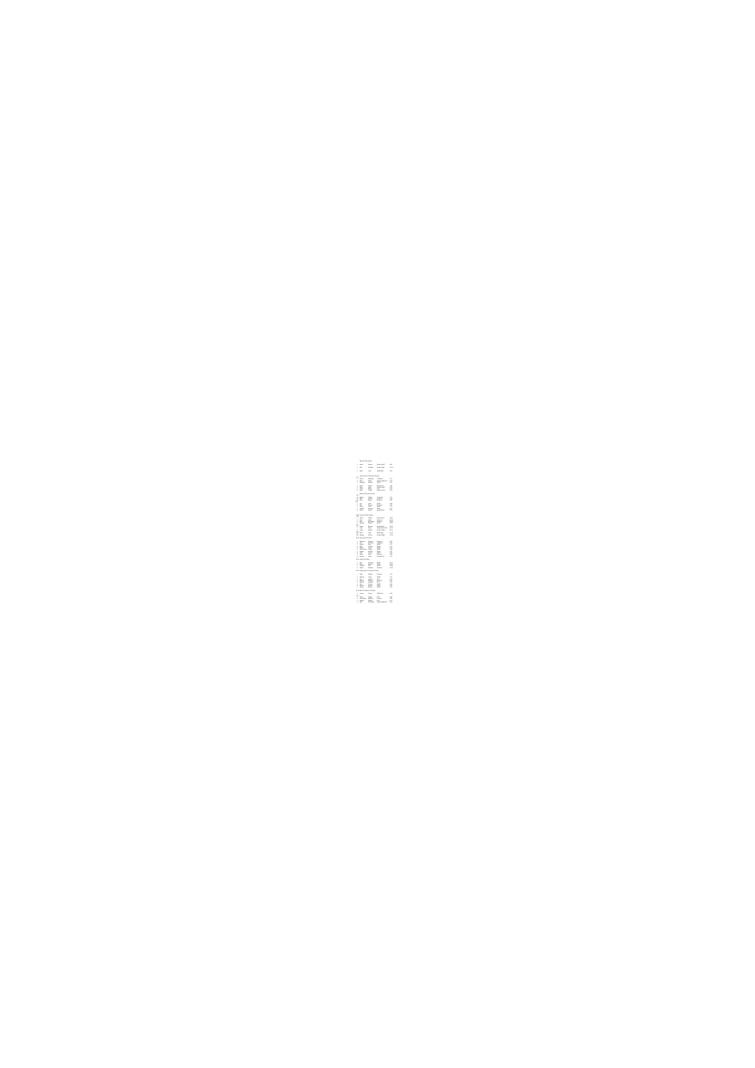ւմ երա առաջանական համար համար է համար համար կարող է համար համար համար կարող է համար համար համար համար համար հա<br>11 դեպքին համար համար համար համար համար համար համար համար համար համար համար համար համար համար համար համար համա Rosser Woodger Jeffs Torbay AC Linskill Trewin Torbay AC Jeffs Rosser Sian<br>Coyshi Conibear Bayliss Sullens Grannell Coysh Kitching Skelley Parmenter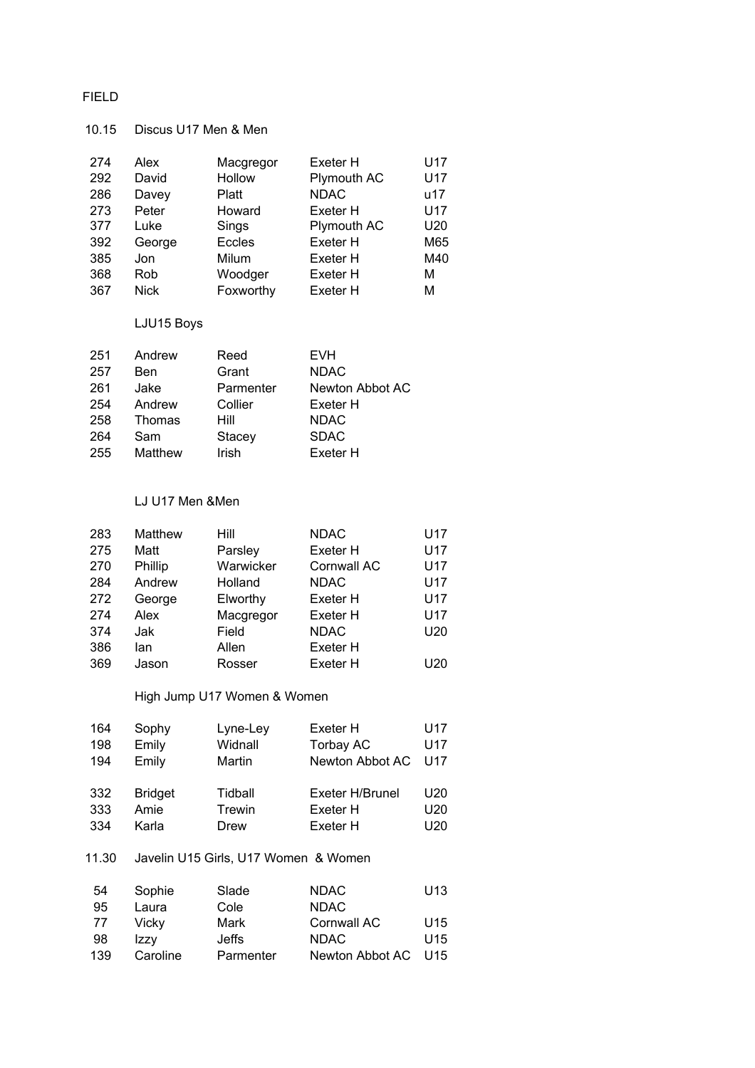#### FIELD

#### 10.15 Discus U17 Men & Men

| 274 | Alex        | Macgregor | Exeter H    | U17 |
|-----|-------------|-----------|-------------|-----|
| 292 | David       | Hollow    | Plymouth AC | U17 |
| 286 | Davey       | Platt     | <b>NDAC</b> | u17 |
| 273 | Peter       | Howard    | Exeter H    | U17 |
| 377 | Luke        | Sings     | Plymouth AC | U20 |
| 392 | George      | Eccles    | Exeter H    | M65 |
| 385 | Jon         | Milum     | Exeter H    | M40 |
| 368 | Rob         | Woodger   | Exeter H    | М   |
| 367 | <b>Nick</b> | Foxworthy | Exeter H    | М   |

# LJU15 Boys

| 251 | Andrew  | Reed      | <b>EVH</b>      |
|-----|---------|-----------|-----------------|
| 257 | Ben     | Grant     | <b>NDAC</b>     |
| 261 | Jake    | Parmenter | Newton Abbot AC |
| 254 | Andrew  | Collier   | Exeter H        |
| 258 | Thomas  | Hill      | <b>NDAC</b>     |
| 264 | Sam     | Stacey    | <b>SDAC</b>     |
| 255 | Matthew | Irish     | Exeter H        |

#### LJ U17 Men &Men

| 283 | Matthew | Hill      | <b>NDAC</b> | U <sub>17</sub> |
|-----|---------|-----------|-------------|-----------------|
| 275 | Matt    | Parsley   | Exeter H    | U17             |
| 270 | Phillip | Warwicker | Cornwall AC | U17             |
| 284 | Andrew  | Holland   | <b>NDAC</b> | U17             |
| 272 | George  | Elworthy  | Exeter H    | U17             |
| 274 | Alex    | Macgregor | Exeter H    | U17             |
| 374 | Jak     | Field     | <b>NDAC</b> | U <sub>20</sub> |
| 386 | lan     | Allen     | Exeter H    |                 |
| 369 | Jason   | Rosser    | Exeter H    | U <sub>20</sub> |

## High Jump U17 Women & Women

| 164 | Sophy          | Lyne-Ley | Exeter H         | U17             |
|-----|----------------|----------|------------------|-----------------|
| 198 | Emily          | Widnall  | <b>Torbay AC</b> | U <sub>17</sub> |
| 194 | Emily          | Martin   | Newton Abbot AC  | U <sub>17</sub> |
| 332 | <b>Bridget</b> | Tidball  | Exeter H/Brunel  | U20             |
| 333 | Amie           | Trewin   | Exeter H         | U <sub>20</sub> |
| 334 | Karla          | Drew     | Exeter H         | U <sub>20</sub> |

# 11.30 Javelin U15 Girls, U17 Women & Women

| 54  | Sophie   | Slade     | <b>NDAC</b>     | U13             |
|-----|----------|-----------|-----------------|-----------------|
| 95  | Laura    | Cole      | <b>NDAC</b>     |                 |
| 77  | Vicky    | Mark      | Cornwall AC     | U <sub>15</sub> |
| 98  | Izzv     | Jeffs     | <b>NDAC</b>     | U <sub>15</sub> |
| 139 | Caroline | Parmenter | Newton Abbot AC | U15             |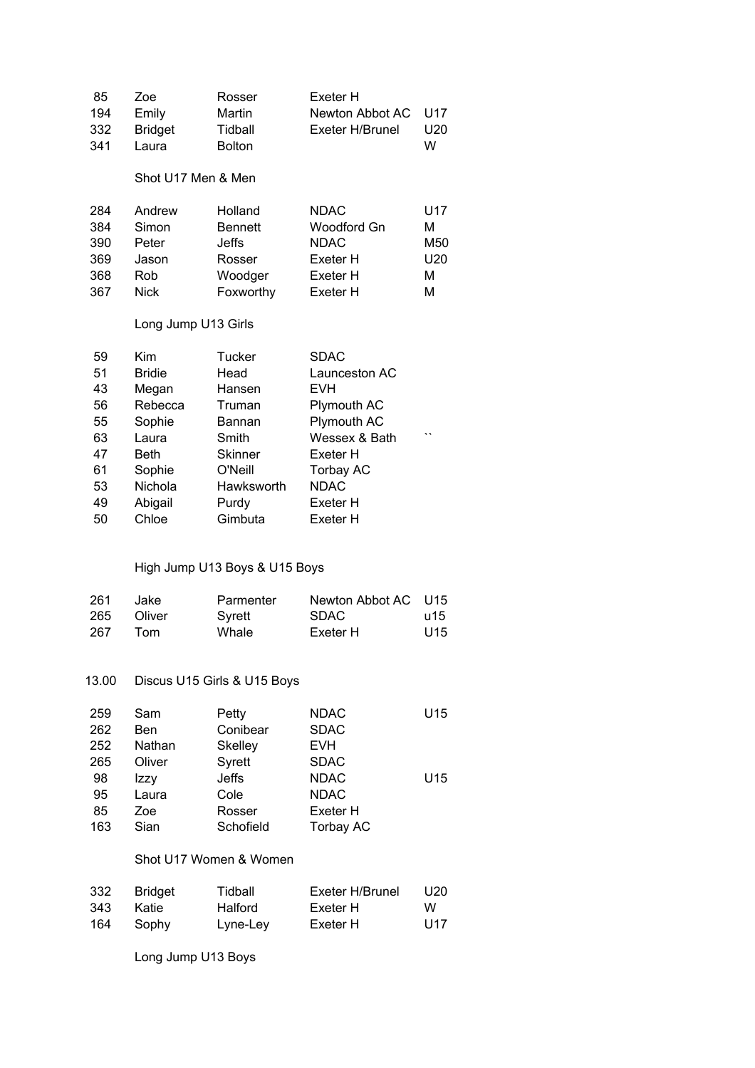| 85<br>194<br>332<br>341                | Zoe<br>Emily<br><b>Bridget</b><br>Laura                 | Rosser<br>Martin<br>Tidball<br><b>Bolton</b>                         | Exeter H<br>Newton Abbot AC<br>Exeter H/Brunel                                | U <sub>17</sub><br>U20<br>w                  |
|----------------------------------------|---------------------------------------------------------|----------------------------------------------------------------------|-------------------------------------------------------------------------------|----------------------------------------------|
|                                        | Shot U17 Men & Men                                      |                                                                      |                                                                               |                                              |
| 284<br>384<br>390<br>369<br>368<br>367 | Andrew<br>Simon<br>Peter<br>Jason<br>Rob<br><b>Nick</b> | Holland<br><b>Bennett</b><br>Jeffs<br>Rosser<br>Woodger<br>Foxworthy | <b>NDAC</b><br>Woodford Gn<br><b>NDAC</b><br>Exeter H<br>Exeter H<br>Exeter H | U17<br>м<br>M50<br>U <sub>20</sub><br>м<br>м |

# Long Jump U13 Girls

| Kim           | Tucker         | <b>SDAC</b>              |
|---------------|----------------|--------------------------|
| <b>Bridie</b> | Head           | Launceston AC            |
| Megan         | Hansen         | EVH                      |
| Rebecca       | Truman         | <b>Plymouth AC</b>       |
| Sophie        | Bannan         | Plymouth AC              |
| Laura         | Smith          | $\cdot$<br>Wessex & Bath |
| <b>Beth</b>   | <b>Skinner</b> | Exeter H                 |
| Sophie        | O'Neill        | Torbay AC                |
| Nichola       | Hawksworth     | <b>NDAC</b>              |
| Abigail       | Purdy          | Exeter H                 |
| Chloe         | Gimbuta        | Exeter H                 |
|               |                |                          |

# High Jump U13 Boys & U15 Boys

| 261 | Jake   | Parmenter | Newton Abbot AC U15 |     |
|-----|--------|-----------|---------------------|-----|
| 265 | Oliver | Syrett    | <b>SDAC</b>         | u15 |
| 267 | Tom    | Whale     | Exeter H            | U15 |

# 13.00 Discus U15 Girls & U15 Boys

| 259 | Sam        | Petty        | <b>NDAC</b> | U15             |
|-----|------------|--------------|-------------|-----------------|
| 262 | <b>Ben</b> | Conibear     | <b>SDAC</b> |                 |
| 252 | Nathan     | Skelley      | <b>EVH</b>  |                 |
| 265 | Oliver     | Syrett       | <b>SDAC</b> |                 |
| 98  | Izzv       | <b>Jeffs</b> | <b>NDAC</b> | U <sub>15</sub> |
| 95  | Laura      | Cole         | <b>NDAC</b> |                 |
| 85  | Zoe        | Rosser       | Exeter H    |                 |
| 163 | Sian       | Schofield    | Torbay AC   |                 |

#### Shot U17 Women & Women

| 332 | Bridget | Tidball  | Exeter H/Brunel | U20 |
|-----|---------|----------|-----------------|-----|
| 343 | Katie   | Halford  | Exeter H        | w   |
| 164 | Sophy   | Lyne-Ley | Exeter H        | U17 |

Long Jump U13 Boys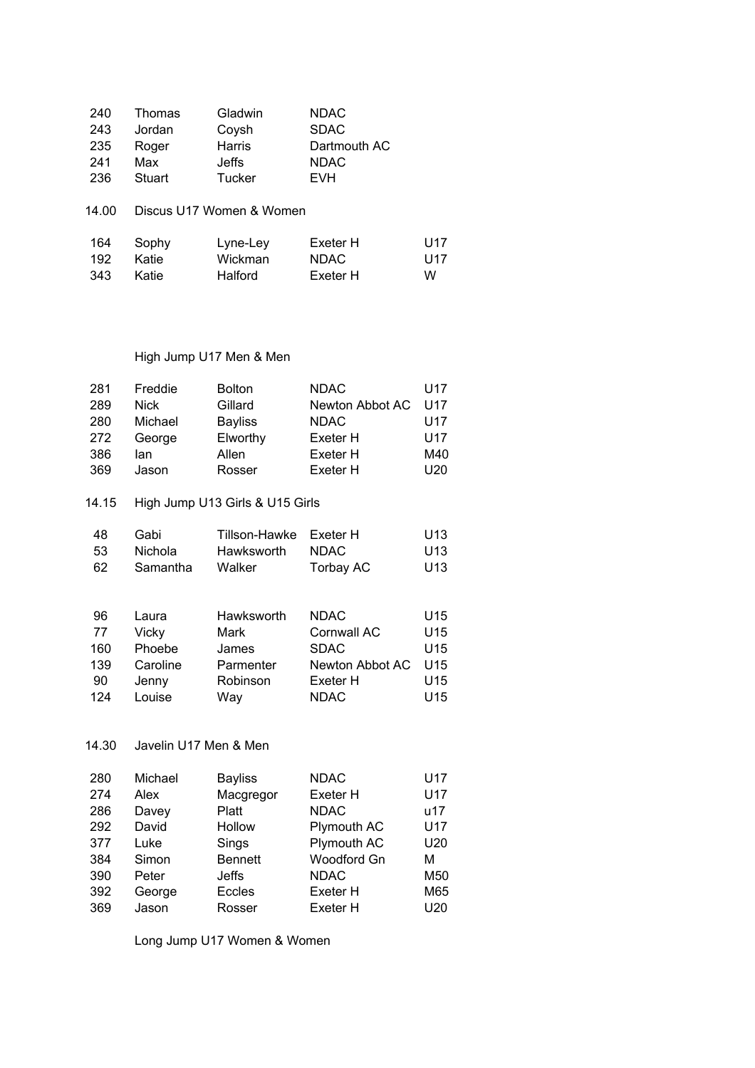| 240   | Thomas | Gladwin                  | <b>NDAC</b>  |     |
|-------|--------|--------------------------|--------------|-----|
| 243   | Jordan | Coysh                    | <b>SDAC</b>  |     |
| 235   | Roger  | Harris                   | Dartmouth AC |     |
| 241   | Max    | Jeffs                    | <b>NDAC</b>  |     |
| 236   | Stuart | Tucker                   | EVH          |     |
| 14.00 |        | Discus U17 Women & Women |              |     |
|       |        |                          |              |     |
| 164   | Sophy  | Lyne-Ley                 | Exeter H     | U17 |
| 192   | Katie  | Wickman                  | <b>NDAC</b>  | U17 |
| 343   | Katie  | Halford                  | Exeter H     | w   |

## High Jump U17 Men & Men

| 281 | Freddie     | <b>Bolton</b>  | <b>NDAC</b>     | U17             |
|-----|-------------|----------------|-----------------|-----------------|
| 289 | <b>Nick</b> | Gillard        | Newton Abbot AC | U17             |
| 280 | Michael     | <b>Bayliss</b> | <b>NDAC</b>     | U17             |
| 272 | George      | Elworthy       | Exeter H        | U <sub>17</sub> |
| 386 | lan         | Allen          | Exeter H        | M40             |
| 369 | Jason       | Rosser         | Exeter H        | U20             |

# 14.15 High Jump U13 Girls & U15 Girls

| 48  | Gabi     | Tillson-Hawke Exeter H |           | U <sub>13</sub> |
|-----|----------|------------------------|-----------|-----------------|
| -53 | Nichola. | Hawksworth             | NDAC.     | U <sub>13</sub> |
| -62 | Samantha | Walker                 | Torbay AC | U13             |

| Laura    | Hawksworth | <b>NDAC</b>     | U15             |
|----------|------------|-----------------|-----------------|
| Vicky    | Mark       | Cornwall AC     | U <sub>15</sub> |
| Phoebe   | James      | <b>SDAC</b>     | U <sub>15</sub> |
| Caroline | Parmenter  | Newton Abbot AC | U15             |
| Jenny    | Robinson   | Exeter H        | U15             |
| Louise   | Wav        | <b>NDAC</b>     | U <sub>15</sub> |
|          |            |                 |                 |

#### 14.30 Javelin U17 Men & Men

| 280 | Michael | <b>Bayliss</b> | <b>NDAC</b> | U17             |
|-----|---------|----------------|-------------|-----------------|
| 274 | Alex    | Macgregor      | Exeter H    | U17             |
| 286 | Davey   | Platt          | <b>NDAC</b> | u17             |
| 292 | David   | Hollow         | Plymouth AC | U17             |
| 377 | Luke    | Sings          | Plymouth AC | U <sub>20</sub> |
| 384 | Simon   | <b>Bennett</b> | Woodford Gn | м               |
| 390 | Peter   | Jeffs          | <b>NDAC</b> | M <sub>50</sub> |
| 392 | George  | Eccles         | Exeter H    | M65             |
| 369 | Jason   | Rosser         | Exeter H    | U20             |

Long Jump U17 Women & Women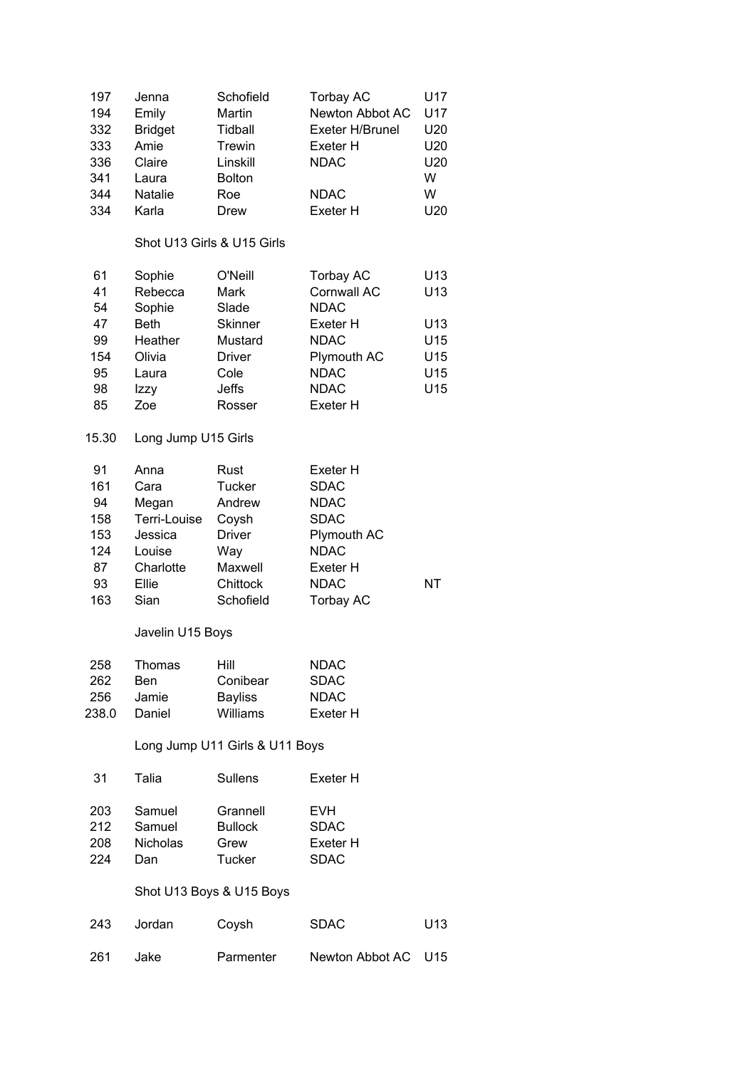| 197<br>194<br>332<br>333<br>336<br>341<br>344<br>334    | Jenna<br>Emily<br><b>Bridget</b><br>Amie<br>Claire<br>Laura<br><b>Natalie</b><br>Karla   | Schofield<br>Martin<br>Tidball<br>Trewin<br>Linskill<br><b>Bolton</b><br>Roe<br>Drew                 | <b>Torbay AC</b><br>Newton Abbot AC<br>Exeter H/Brunel<br>Exeter H<br><b>NDAC</b><br><b>NDAC</b><br>Exeter H                       | U17<br>U17<br>U20<br>U20<br>U20<br>W<br>W<br>U20 |
|---------------------------------------------------------|------------------------------------------------------------------------------------------|------------------------------------------------------------------------------------------------------|------------------------------------------------------------------------------------------------------------------------------------|--------------------------------------------------|
|                                                         |                                                                                          | Shot U13 Girls & U15 Girls                                                                           |                                                                                                                                    |                                                  |
| 61<br>41<br>54<br>47<br>99<br>154<br>95<br>98<br>85     | Sophie<br>Rebecca<br>Sophie<br><b>Beth</b><br>Heather<br>Olivia<br>Laura<br>Izzy<br>Zoe  | O'Neill<br>Mark<br>Slade<br>Skinner<br>Mustard<br><b>Driver</b><br>Cole<br><b>Jeffs</b><br>Rosser    | <b>Torbay AC</b><br>Cornwall AC<br><b>NDAC</b><br>Exeter H<br><b>NDAC</b><br>Plymouth AC<br><b>NDAC</b><br><b>NDAC</b><br>Exeter H | U13<br>U13<br>U13<br>U15<br>U15<br>U15<br>U15    |
| 15.30                                                   | Long Jump U15 Girls                                                                      |                                                                                                      |                                                                                                                                    |                                                  |
| 91<br>161<br>94<br>158<br>153<br>124<br>87<br>93<br>163 | Anna<br>Cara<br>Megan<br>Terri-Louise<br>Jessica<br>Louise<br>Charlotte<br>Ellie<br>Sian | Rust<br><b>Tucker</b><br>Andrew<br>Coysh<br><b>Driver</b><br>Way<br>Maxwell<br>Chittock<br>Schofield | Exeter H<br><b>SDAC</b><br><b>NDAC</b><br><b>SDAC</b><br>Plymouth AC<br><b>NDAC</b><br>Exeter H<br><b>NDAC</b><br><b>Torbay AC</b> | <b>NT</b>                                        |
|                                                         | Javelin U15 Boys                                                                         |                                                                                                      |                                                                                                                                    |                                                  |
| 258<br>262<br>256<br>238.0                              | Thomas<br>Ben<br>Jamie<br>Daniel                                                         | Hill<br>Conibear<br><b>Bayliss</b><br><b>Williams</b>                                                | NDAC<br><b>SDAC</b><br><b>NDAC</b><br>Exeter H                                                                                     |                                                  |
|                                                         |                                                                                          | Long Jump U11 Girls & U11 Boys                                                                       |                                                                                                                                    |                                                  |
| 31                                                      | Talia                                                                                    | <b>Sullens</b>                                                                                       | Exeter H                                                                                                                           |                                                  |
| 203<br>212<br>208<br>224                                | Samuel<br>Samuel<br>Nicholas<br>Dan                                                      | Grannell<br><b>Bullock</b><br>Grew<br>Tucker                                                         | <b>EVH</b><br><b>SDAC</b><br>Exeter H<br><b>SDAC</b>                                                                               |                                                  |
|                                                         |                                                                                          | Shot U13 Boys & U15 Boys                                                                             |                                                                                                                                    |                                                  |
| 243                                                     | Jordan                                                                                   | Coysh                                                                                                | <b>SDAC</b>                                                                                                                        | U13                                              |
| 261                                                     | Jake                                                                                     | Parmenter                                                                                            | Newton Abbot AC                                                                                                                    | U15                                              |